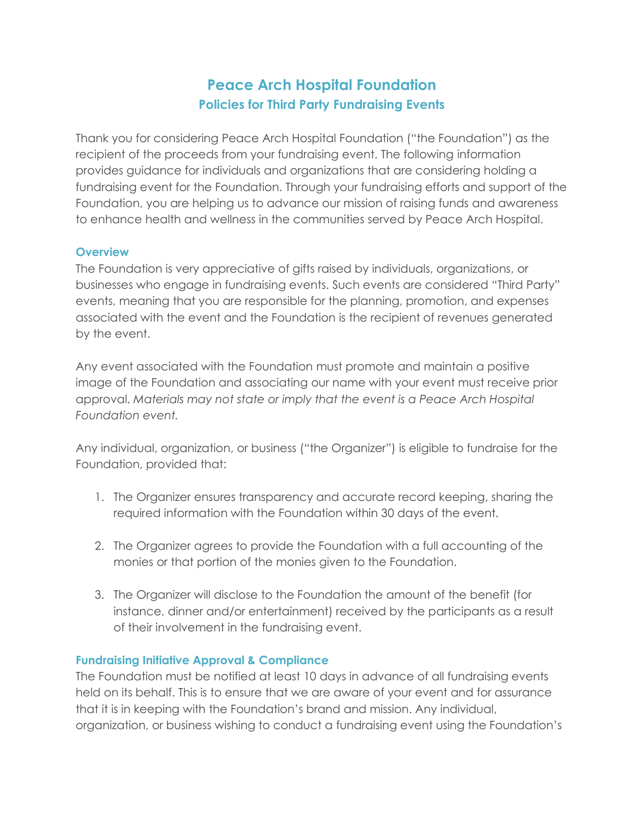# **Peace Arch Hospital Foundation Policies for Third Party Fundraising Events**

Thank you for considering Peace Arch Hospital Foundation ("the Foundation") as the recipient of the proceeds from your fundraising event. The following information provides guidance for individuals and organizations that are considering holding a fundraising event for the Foundation. Through your fundraising efforts and support of the Foundation, you are helping us to advance our mission of raising funds and awareness to enhance health and wellness in the communities served by Peace Arch Hospital.

#### **Overview**

The Foundation is very appreciative of gifts raised by individuals, organizations, or businesses who engage in fundraising events. Such events are considered "Third Party" events, meaning that you are responsible for the planning, promotion, and expenses associated with the event and the Foundation is the recipient of revenues generated by the event.

Any event associated with the Foundation must promote and maintain a positive image of the Foundation and associating our name with your event must receive prior approval. *Materials may not state or imply that the event is a Peace Arch Hospital Foundation event.*

Any individual, organization, or business ("the Organizer") is eligible to fundraise for the Foundation, provided that:

- 1. The Organizer ensures transparency and accurate record keeping, sharing the required information with the Foundation within 30 days of the event.
- 2. The Organizer agrees to provide the Foundation with a full accounting of the monies or that portion of the monies given to the Foundation.
- 3. The Organizer will disclose to the Foundation the amount of the benefit (for instance, dinner and/or entertainment) received by the participants as a result of their involvement in the fundraising event.

#### **Fundraising Initiative Approval & Compliance**

The Foundation must be notified at least 10 days in advance of all fundraising events held on its behalf. This is to ensure that we are aware of your event and for assurance that it is in keeping with the Foundation's brand and mission. Any individual, organization, or business wishing to conduct a fundraising event using the Foundation's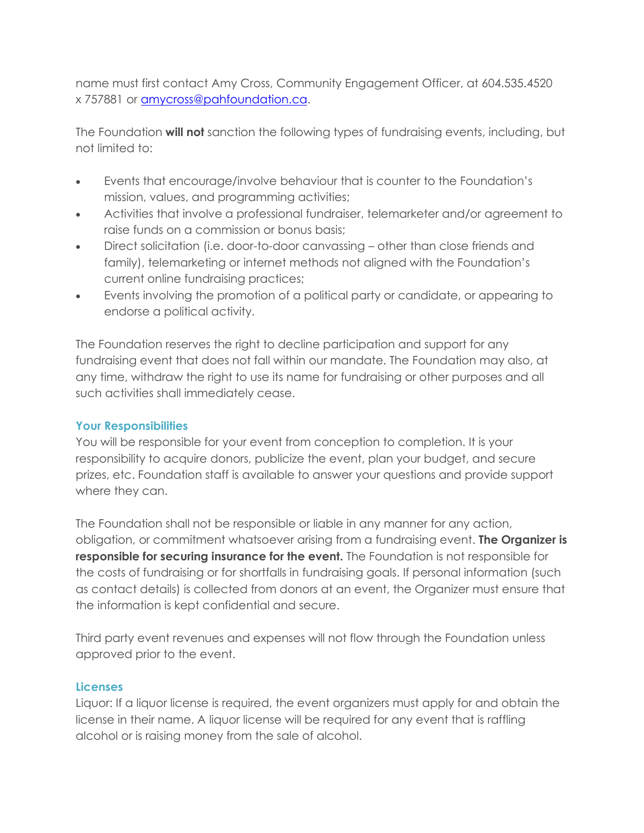name must first contact Amy Cross, Community Engagement Officer, at 604.535.4520 x 757881 or amycross[@pahfoundat](mailto:amywesten@pahfoundation.ca)ion.ca.

The Foundation **will not** sanction the following types of fundraising events, including, but not limited to:

- Events that encourage/involve behaviour that is counter to the Foundation's mission, values, and programming activities;
- Activities that involve a professional fundraiser, telemarketer and/or agreement to raise funds on a commission or bonus basis;
- Direct solicitation (i.e. door-to-door canvassing other than close friends and family), telemarketing or internet methods not aligned with the Foundation's current online fundraising practices;
- Events involving the promotion of a political party or candidate, or appearing to endorse a political activity.

The Foundation reserves the right to decline participation and support for any fundraising event that does not fall within our mandate. The Foundation may also, at any time, withdraw the right to use its name for fundraising or other purposes and all such activities shall immediately cease.

# **Your Responsibilities**

You will be responsible for your event from conception to completion. It is your responsibility to acquire donors, publicize the event, plan your budget, and secure prizes, etc. Foundation staff is available to answer your questions and provide support where they can.

The Foundation shall not be responsible or liable in any manner for any action, obligation, or commitment whatsoever arising from a fundraising event. **The Organizer is responsible for securing insurance for the event.** The Foundation is not responsible for the costs of fundraising or for shortfalls in fundraising goals. If personal information (such as contact details) is collected from donors at an event, the Organizer must ensure that the information is kept confidential and secure.

Third party event revenues and expenses will not flow through the Foundation unless approved prior to the event.

#### **Licenses**

Liquor: If a liquor license is required, the event organizers must apply for and obtain the license in their name. A liquor license will be required for any event that is raffling alcohol or is raising money from the sale of alcohol.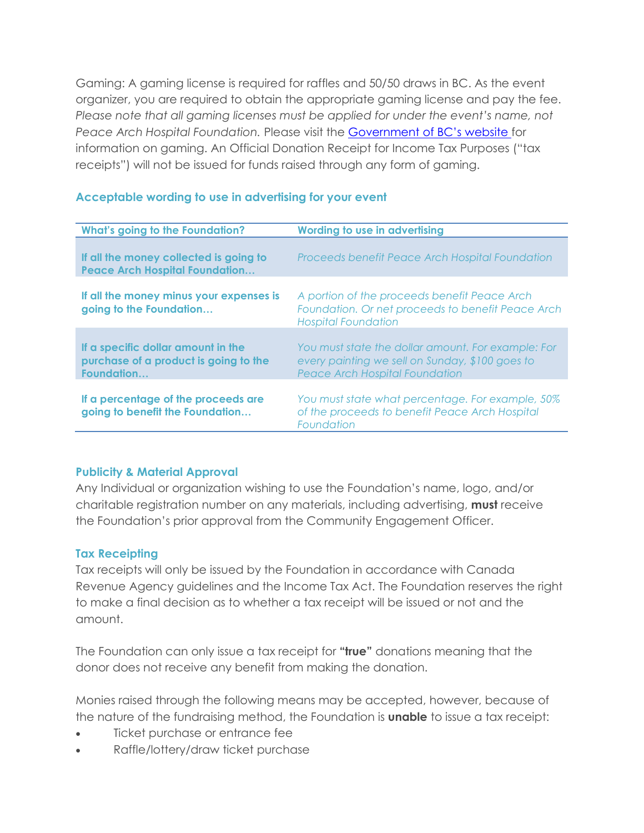Gaming: A gaming license is required for raffles and 50/50 draws in BC. As the event organizer, you are required to obtain the appropriate gaming license and pay the fee. *Please note that all gaming licenses must be applied for under the event's name, not Peace Arch Hospital Foundation.* Please visit the [Government of BC's website](http://www2.gov.bc.ca/gov/content/sports-culture/gambling-fundraising/gambling-licence-fundraising) for information on gaming. An Official Donation Receipt for Income Tax Purposes ("tax receipts") will not be issued for funds raised through any form of gaming.

| <b>What's going to the Foundation?</b>                                                     | <b>Wording to use in advertising</b>                                                                                                           |
|--------------------------------------------------------------------------------------------|------------------------------------------------------------------------------------------------------------------------------------------------|
|                                                                                            |                                                                                                                                                |
| If all the money collected is going to<br><b>Peace Arch Hospital Foundation</b>            | Proceeds benefit Peace Arch Hospital Foundation                                                                                                |
| If all the money minus your expenses is<br>going to the Foundation                         | A portion of the proceeds benefit Peace Arch<br>Foundation. Or net proceeds to benefit Peace Arch<br><b>Hospital Foundation</b>                |
| If a specific dollar amount in the<br>purchase of a product is going to the<br>Foundation. | You must state the dollar amount. For example: For<br>every painting we sell on Sunday, \$100 goes to<br><b>Peace Arch Hospital Foundation</b> |
| If a percentage of the proceeds are<br>going to benefit the Foundation                     | You must state what percentage. For example, 50%<br>of the proceeds to benefit Peace Arch Hospital<br>Foundation                               |

#### **Acceptable wording to use in advertising for your event**

#### **Publicity & Material Approval**

Any Individual or organization wishing to use the Foundation's name, logo, and/or charitable registration number on any materials, including advertising, **must** receive the Foundation's prior approval from the Community Engagement Officer.

#### **Tax Receipting**

Tax receipts will only be issued by the Foundation in accordance with Canada Revenue Agency guidelines and the Income Tax Act. The Foundation reserves the right to make a final decision as to whether a tax receipt will be issued or not and the amount.

The Foundation can only issue a tax receipt for **"true"** donations meaning that the donor does not receive any benefit from making the donation.

Monies raised through the following means may be accepted, however, because of the nature of the fundraising method, the Foundation is **unable** to issue a tax receipt:

- Ticket purchase or entrance fee
- Raffle/lottery/draw ticket purchase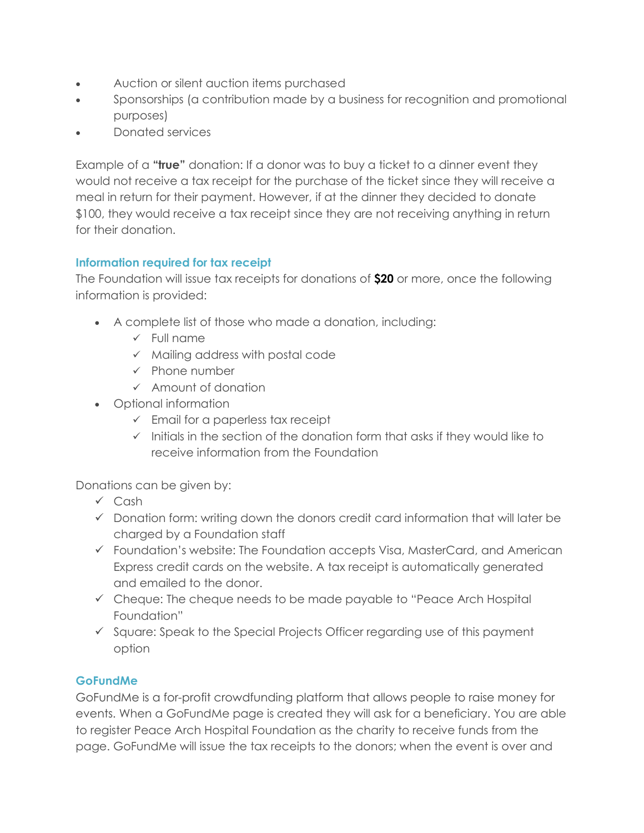- Auction or silent auction items purchased
- Sponsorships (a contribution made by a business for recognition and promotional purposes)
- Donated services

Example of a **"true"** donation: If a donor was to buy a ticket to a dinner event they would not receive a tax receipt for the purchase of the ticket since they will receive a meal in return for their payment. However, if at the dinner they decided to donate \$100, they would receive a tax receipt since they are not receiving anything in return for their donation.

# **Information required for tax receipt**

The Foundation will issue tax receipts for donations of **\$20** or more, once the following information is provided:

- A complete list of those who made a donation, including:
	- ✓ Full name
	- ✓ Mailing address with postal code
	- ✓ Phone number
	- ✓ Amount of donation
- Optional information
	- $\checkmark$  Email for a paperless tax receipt
	- $\checkmark$  Initials in the section of the donation form that asks if they would like to receive information from the Foundation

Donations can be given by:

- ✓ Cash
- ✓ Donation form: writing down the donors credit card information that will later be charged by a Foundation staff
- ✓ Foundation's website: The Foundation accepts Visa, MasterCard, and American Express credit cards on the website. A tax receipt is automatically generated and emailed to the donor.
- ✓ Cheque: The cheque needs to be made payable to "Peace Arch Hospital Foundation"
- ✓ Square: Speak to the Special Projects Officer regarding use of this payment option

# **GoFundMe**

GoFundMe is a for-profit crowdfunding platform that allows people to raise money for events. When a GoFundMe page is created they will ask for a beneficiary. You are able to register Peace Arch Hospital Foundation as the charity to receive funds from the page. GoFundMe will issue the tax receipts to the donors; when the event is over and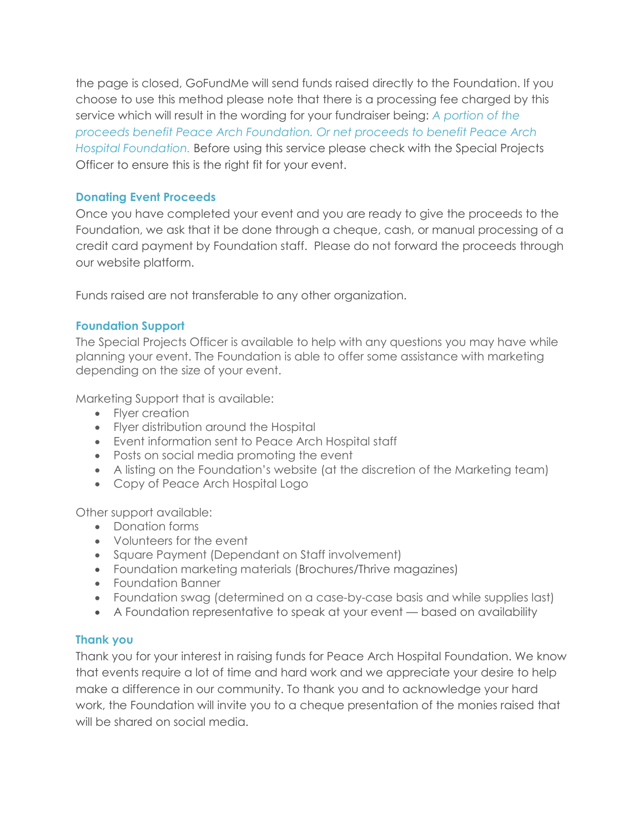the page is closed, GoFundMe will send funds raised directly to the Foundation. If you choose to use this method please note that there is a processing fee charged by this service which will result in the wording for your fundraiser being: *A portion of the proceeds benefit Peace Arch Foundation. Or net proceeds to benefit Peace Arch Hospital Foundation.* Before using this service please check with the Special Projects Officer to ensure this is the right fit for your event.

### **Donating Event Proceeds**

Once you have completed your event and you are ready to give the proceeds to the Foundation, we ask that it be done through a cheque, cash, or manual processing of a credit card payment by Foundation staff. Please do not forward the proceeds through our website platform.

Funds raised are not transferable to any other organization.

## **Foundation Support**

The Special Projects Officer is available to help with any questions you may have while planning your event. The Foundation is able to offer some assistance with marketing depending on the size of your event.

Marketing Support that is available:

- Fiver creation
- Flyer distribution around the Hospital
- Event information sent to Peace Arch Hospital staff
- Posts on social media promoting the event
- A listing on the Foundation's website (at the discretion of the Marketing team)
- Copy of Peace Arch Hospital Logo

Other support available:

- Donation forms
- Volunteers for the event
- Square Payment (Dependant on Staff involvement)
- Foundation marketing materials (Brochures/Thrive magazines)
- Foundation Banner
- Foundation swag (determined on a case-by-case basis and while supplies last)
- A Foundation representative to speak at your event based on availability

# **Thank you**

Thank you for your interest in raising funds for Peace Arch Hospital Foundation. We know that events require a lot of time and hard work and we appreciate your desire to help make a difference in our community. To thank you and to acknowledge your hard work, the Foundation will invite you to a cheque presentation of the monies raised that will be shared on social media.